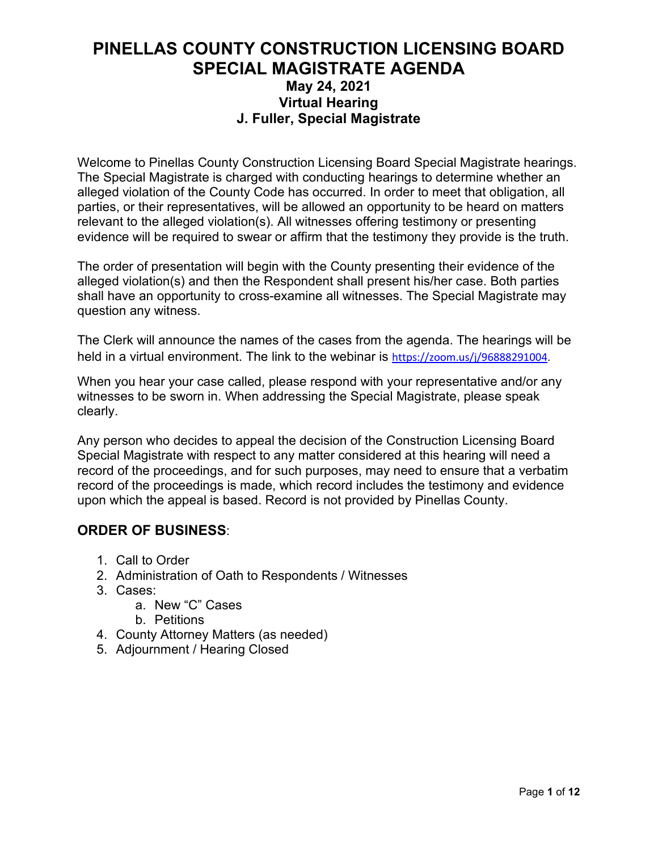#### **PINELLAS COUNTY CONSTRUCTION LICENSING BOARD SPECIAL MAGISTRATE AGENDA May 24, 2021 Virtual Hearing J. Fuller, Special Magistrate**

Welcome to Pinellas County Construction Licensing Board Special Magistrate hearings. The Special Magistrate is charged with conducting hearings to determine whether an alleged violation of the County Code has occurred. In order to meet that obligation, all parties, or their representatives, will be allowed an opportunity to be heard on matters relevant to the alleged violation(s). All witnesses offering testimony or presenting evidence will be required to swear or affirm that the testimony they provide is the truth.

The order of presentation will begin with the County presenting their evidence of the alleged violation(s) and then the Respondent shall present his/her case. Both parties shall have an opportunity to cross-examine all witnesses. The Special Magistrate may question any witness.

The Clerk will announce the names of the cases from the agenda. The hearings will be held in a virtual environment. The link to the webinar is [https://zoom.us/j/96888291004.](https://zoom.us/j/96888291004)

When you hear your case called, please respond with your representative and/or any witnesses to be sworn in. When addressing the Special Magistrate, please speak clearly.

Any person who decides to appeal the decision of the Construction Licensing Board Special Magistrate with respect to any matter considered at this hearing will need a record of the proceedings, and for such purposes, may need to ensure that a verbatim record of the proceedings is made, which record includes the testimony and evidence upon which the appeal is based. Record is not provided by Pinellas County.

#### **ORDER OF BUSINESS**:

- 1. Call to Order
- 2. Administration of Oath to Respondents / Witnesses
- 3. Cases:
	- a. New "C" Cases
	- b. Petitions
- 4. County Attorney Matters (as needed)
- 5. Adjournment / Hearing Closed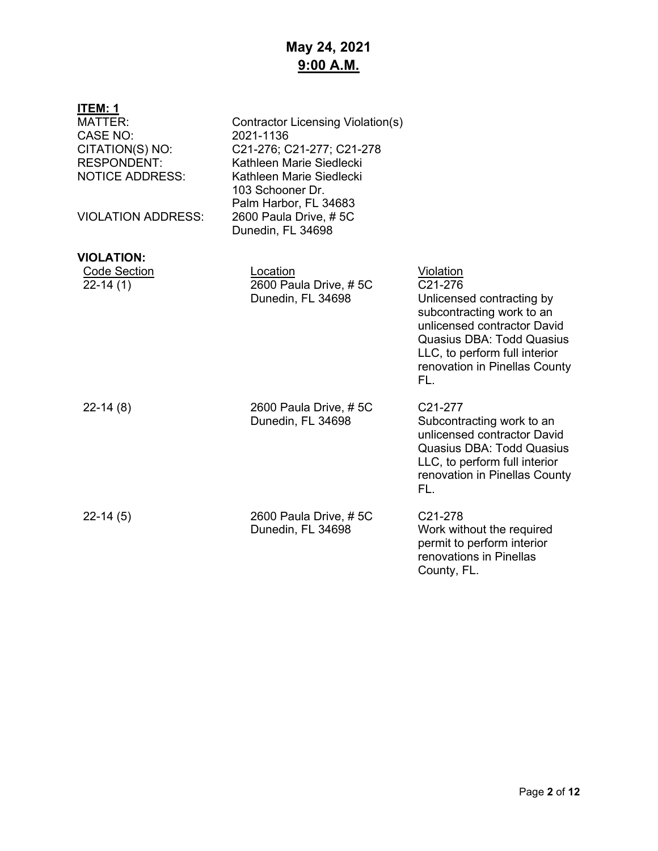# **May 24, 2021 9:00 A.M.**

| ITEM: 1                                                                                                                           |                                                                                                                                                                                                                  |                                                                                                                                                                                                                            |
|-----------------------------------------------------------------------------------------------------------------------------------|------------------------------------------------------------------------------------------------------------------------------------------------------------------------------------------------------------------|----------------------------------------------------------------------------------------------------------------------------------------------------------------------------------------------------------------------------|
| <b>MATTER:</b><br><b>CASE NO:</b><br>CITATION(S) NO:<br><b>RESPONDENT:</b><br><b>NOTICE ADDRESS:</b><br><b>VIOLATION ADDRESS:</b> | <b>Contractor Licensing Violation(s)</b><br>2021-1136<br>C21-276; C21-277; C21-278<br>Kathleen Marie Siedlecki<br>Kathleen Marie Siedlecki<br>103 Schooner Dr.<br>Palm Harbor, FL 34683<br>2600 Paula Drive, #5C |                                                                                                                                                                                                                            |
|                                                                                                                                   | Dunedin, FL 34698                                                                                                                                                                                                |                                                                                                                                                                                                                            |
| <b>VIOLATION:</b>                                                                                                                 |                                                                                                                                                                                                                  |                                                                                                                                                                                                                            |
| <b>Code Section</b><br>$22-14(1)$                                                                                                 | Location<br>2600 Paula Drive, #5C<br>Dunedin, FL 34698                                                                                                                                                           | Violation<br>C21-276<br>Unlicensed contracting by<br>subcontracting work to an<br>unlicensed contractor David<br><b>Quasius DBA: Todd Quasius</b><br>LLC, to perform full interior<br>renovation in Pinellas County<br>FL. |
| $22-14(8)$                                                                                                                        | 2600 Paula Drive, #5C<br>Dunedin, FL 34698                                                                                                                                                                       | C21-277<br>Subcontracting work to an<br>unlicensed contractor David<br><b>Quasius DBA: Todd Quasius</b><br>LLC, to perform full interior<br>renovation in Pinellas County<br>FL.                                           |
| $22-14(5)$                                                                                                                        | 2600 Paula Drive, #5C<br>Dunedin, FL 34698                                                                                                                                                                       | C21-278<br>Work without the required<br>permit to perform interior<br>renovations in Pinellas<br>County, FL.                                                                                                               |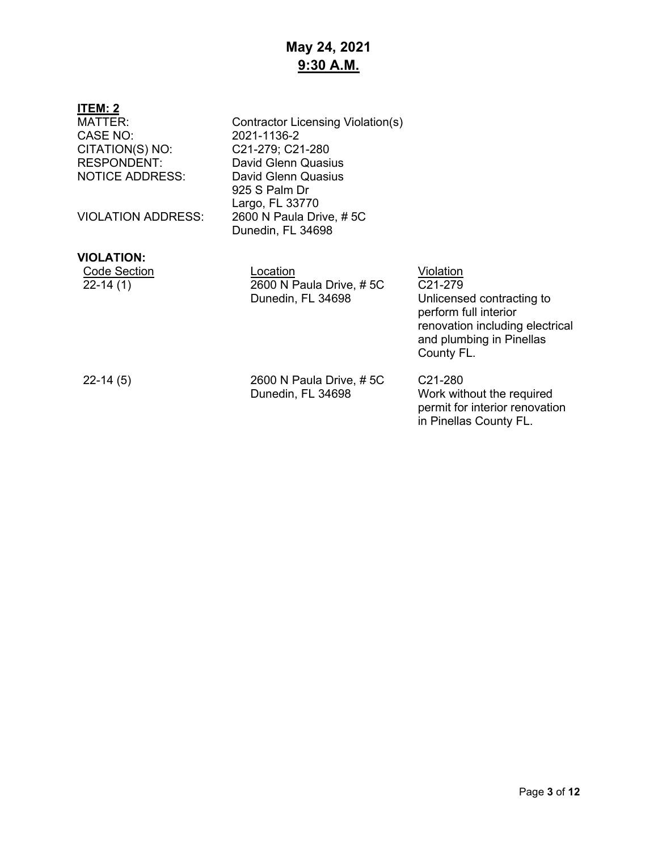# **May 24, 2021 9:30 A.M.**

| ITEM: 2<br><b>MATTER:</b><br>CASE NO:<br>CITATION(S) NO:<br><b>RESPONDENT:</b><br><b>NOTICE ADDRESS:</b><br><b>VIOLATION ADDRESS:</b> | Contractor Licensing Violation(s)<br>2021-1136-2<br>C21-279; C21-280<br><b>David Glenn Quasius</b><br>David Glenn Quasius<br>925 S Palm Dr<br>Largo, FL 33770<br>2600 N Paula Drive, #5C |                                                                                                                                                                      |
|---------------------------------------------------------------------------------------------------------------------------------------|------------------------------------------------------------------------------------------------------------------------------------------------------------------------------------------|----------------------------------------------------------------------------------------------------------------------------------------------------------------------|
|                                                                                                                                       | Dunedin, FL 34698                                                                                                                                                                        |                                                                                                                                                                      |
| <b>VIOLATION:</b><br><b>Code Section</b><br>$22-14(1)$                                                                                | Location<br>2600 N Paula Drive, #5C<br>Dunedin, FL 34698                                                                                                                                 | Violation<br>C <sub>21</sub> -279<br>Unlicensed contracting to<br>perform full interior<br>renovation including electrical<br>and plumbing in Pinellas<br>County FL. |
| $22-14(5)$                                                                                                                            | 2600 N Paula Drive, #5C<br>Dunedin, FL 34698                                                                                                                                             | C21-280<br>Work without the required<br>permit for interior renovation<br>in Pinellas County FL.                                                                     |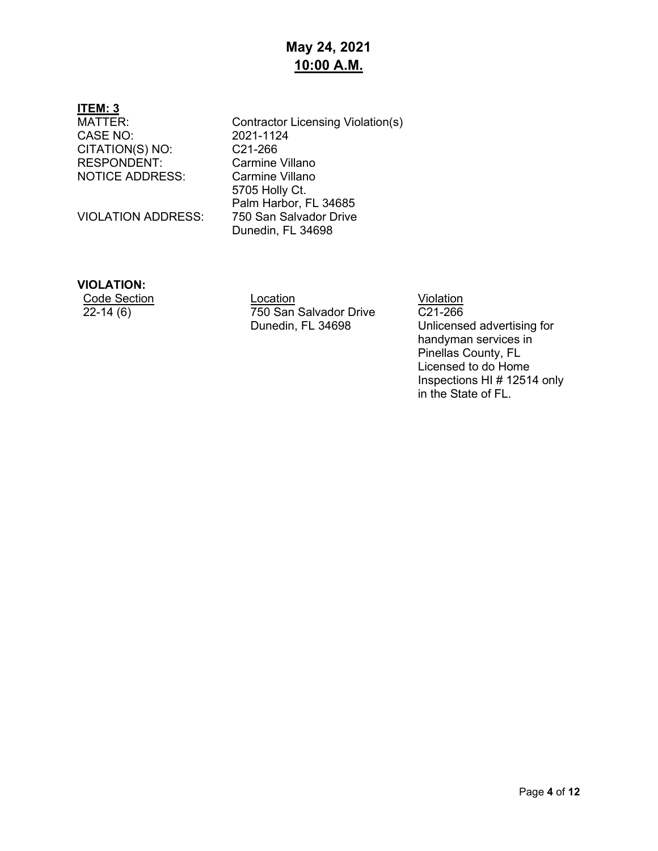### **May 24, 2021 10:00 A.M.**

# **ITEM: 3**

CASE NO: 2021-1124<br>CITATION(S) NO: C21-266 CITATION(S) NO: C21-266<br>RESPONDENT: Carmine Villano RESPONDENT: NOTICE ADDRESS: Carmine Villano

VIOLATION ADDRESS:

Contractor Licensing Violation(s) 5705 Holly Ct. Palm Harbor, FL 34685<br>750 San Salvador Drive Dunedin, FL 34698

#### **VIOLATION:**

Code Section Location Location Location Violation<br>22-14 (6) 750 San Salvador Drive C21-266 750 San Salvador Drive Dunedin, FL 34698

C21-266 Unlicensed advertising for handyman services in Pinellas County, FL Licensed to do Home Inspections HI # 12514 only in the State of FL.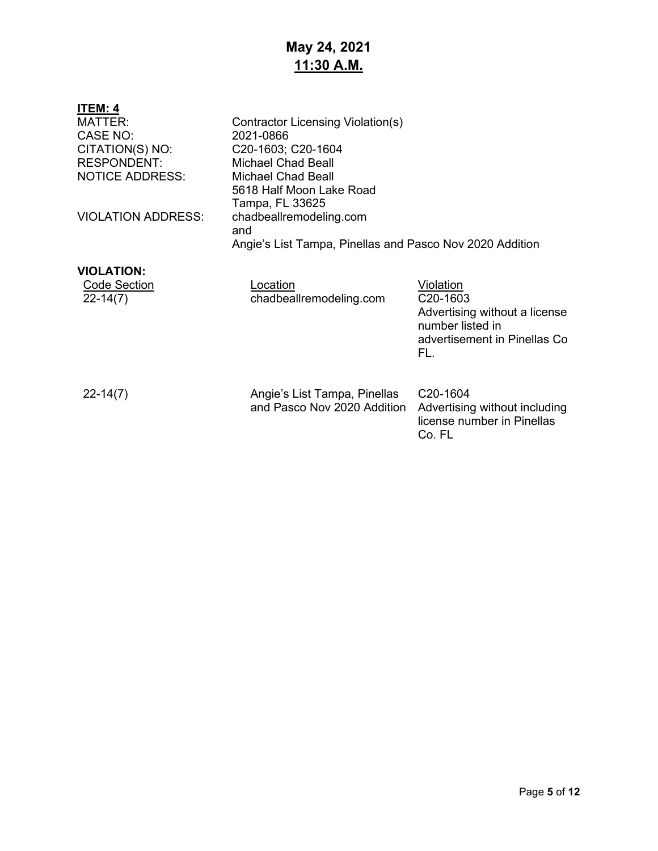# **May 24, 2021 11:30 A.M.**

| <b>ITEM: 4</b><br><b>MATTER:</b><br>CASE NO:<br>CITATION(S) NO:<br><b>RESPONDENT:</b><br><b>NOTICE ADDRESS:</b> | Contractor Licensing Violation(s)<br>2021-0866<br>C20-1603; C20-1604<br>Michael Chad Beall<br><b>Michael Chad Beall</b><br>5618 Half Moon Lake Road<br>Tampa, FL 33625 |                                                                                                                   |
|-----------------------------------------------------------------------------------------------------------------|------------------------------------------------------------------------------------------------------------------------------------------------------------------------|-------------------------------------------------------------------------------------------------------------------|
| <b>VIOLATION ADDRESS:</b>                                                                                       | chadbeallremodeling.com<br>and<br>Angie's List Tampa, Pinellas and Pasco Nov 2020 Addition                                                                             |                                                                                                                   |
| <b>VIOLATION:</b><br><b>Code Section</b><br>$22 - 14(7)$                                                        | Location<br>chadbeallremodeling.com                                                                                                                                    | Violation<br>C20-1603<br>Advertising without a license<br>number listed in<br>advertisement in Pinellas Co<br>FL. |
| $22 - 14(7)$                                                                                                    | Angie's List Tampa, Pinellas<br>and Pasco Nov 2020 Addition                                                                                                            | C <sub>20</sub> -1604<br>Advertising without including<br>license number in Pinellas<br>Co. FL                    |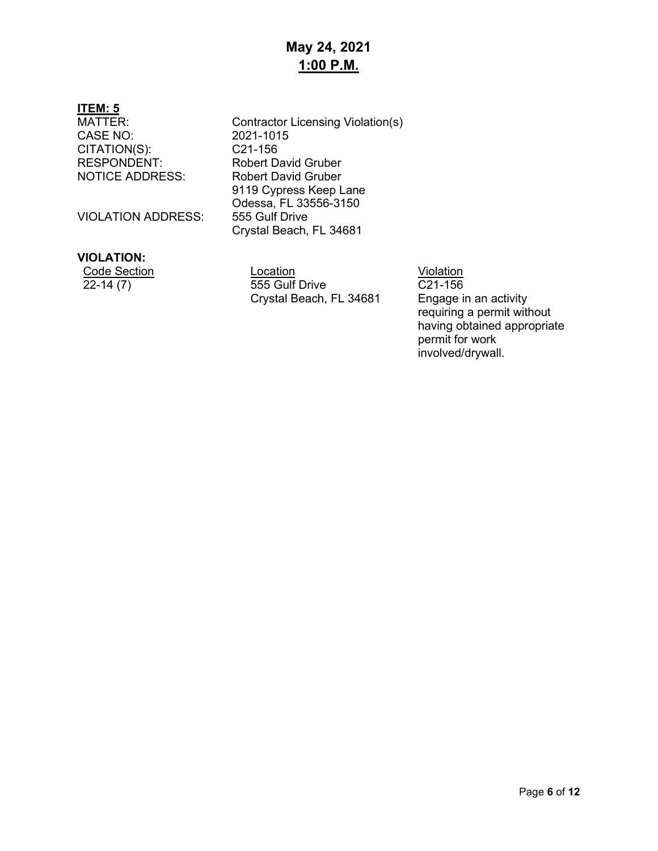### **May 24, 2021 1:00 P.M.**

# **ITEM: 5**

CASE NO: 2021-1015<br>CITATION(S): C21-156 CITATION(S): RESPONDENT: Robert David Gruber NOTICE ADDRESS: Robert David Gruber

VIOLATION ADDRESS:

#### **VIOLATION:**

| Code Section |
|--------------|
| 22-14 (7)    |

Contractor Licensing Violation(s) 9119 Cypress Keep Lane Odessa, FL 33556-3150 Crystal Beach, FL 34681

Location Violation 22-14 (7) 555 Gulf Drive Crystal Beach, FL 34681

C21-156

Engage in an activity requiring a permit without having obtained appropriate permit for work involved/drywall.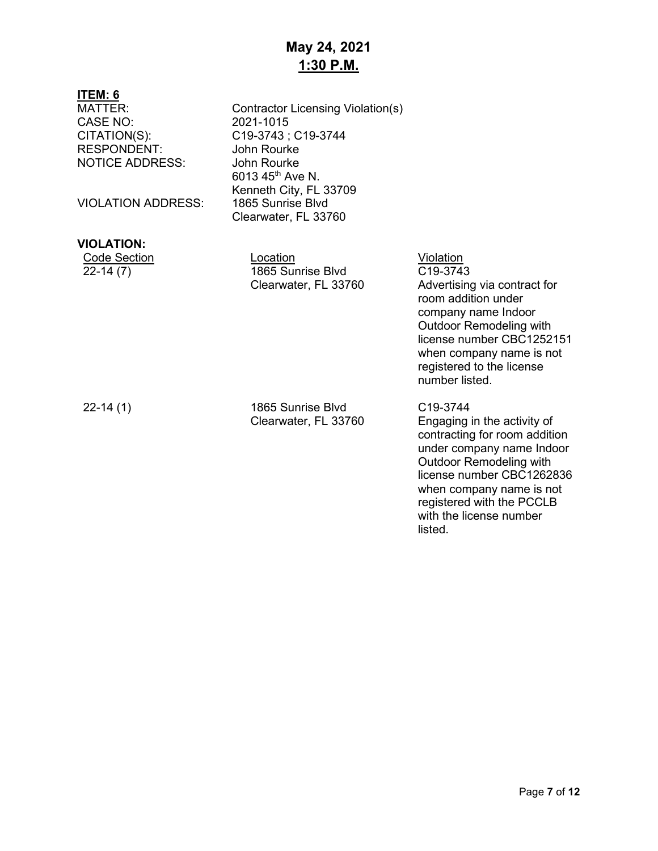## **May 24, 2021 1:30 P.M.**

| ITEM: 6<br><b>MATTER:</b><br><b>CASE NO:</b><br>CITATION(S):<br><b>RESPONDENT:</b><br><b>NOTICE ADDRESS:</b><br><b>VIOLATION ADDRESS:</b> | Contractor Licensing Violation(s)<br>2021-1015<br>C19-3743 ; C19-3744<br>John Rourke<br>John Rourke<br>6013 45 <sup>th</sup> Ave N.<br>Kenneth City, FL 33709<br>1865 Sunrise Blvd<br>Clearwater, FL 33760 |                                                                                                                                                                                                                                                                                  |
|-------------------------------------------------------------------------------------------------------------------------------------------|------------------------------------------------------------------------------------------------------------------------------------------------------------------------------------------------------------|----------------------------------------------------------------------------------------------------------------------------------------------------------------------------------------------------------------------------------------------------------------------------------|
| <b>VIOLATION:</b>                                                                                                                         |                                                                                                                                                                                                            |                                                                                                                                                                                                                                                                                  |
| <b>Code Section</b><br>$22-14(7)$                                                                                                         | Location<br>1865 Sunrise Blvd<br>Clearwater, FL 33760                                                                                                                                                      | Violation<br>C19-3743<br>Advertising via contract for<br>room addition under<br>company name Indoor<br><b>Outdoor Remodeling with</b><br>license number CBC1252151<br>when company name is not<br>registered to the license<br>number listed.                                    |
| $22 - 14(1)$                                                                                                                              | 1865 Sunrise Blvd<br>Clearwater, FL 33760                                                                                                                                                                  | C <sub>19</sub> -3744<br>Engaging in the activity of<br>contracting for room addition<br>under company name Indoor<br><b>Outdoor Remodeling with</b><br>license number CBC1262836<br>when company name is not<br>registered with the PCCLB<br>with the license number<br>listed. |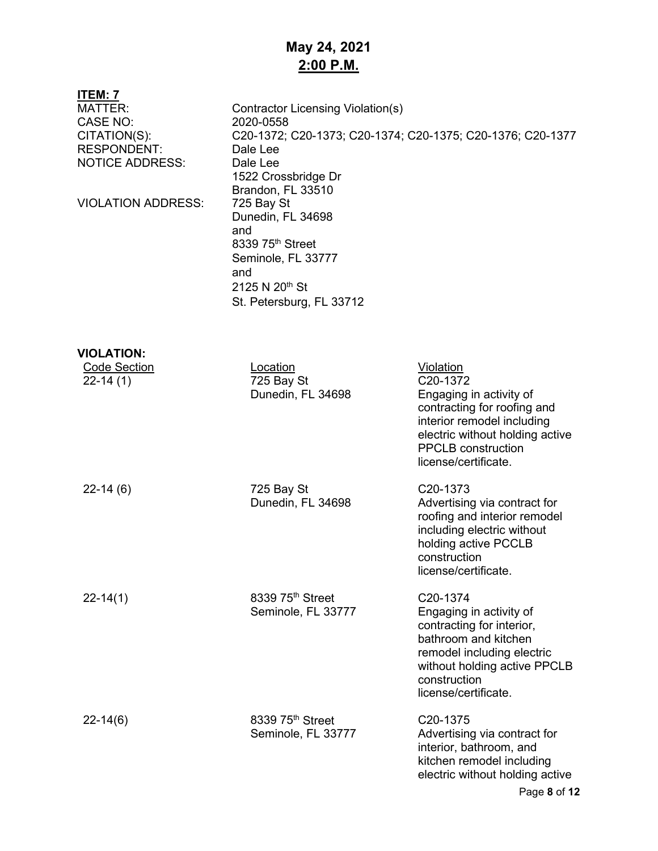# **May 24, 2021 2:00 P.M.**

| <b>ITEM: 7</b>            |                                          |                                                            |
|---------------------------|------------------------------------------|------------------------------------------------------------|
| <b>MATTER:</b>            | <b>Contractor Licensing Violation(s)</b> |                                                            |
| <b>CASE NO:</b>           | 2020-0558                                |                                                            |
| CITATION(S):              |                                          | C20-1372; C20-1373; C20-1374; C20-1375; C20-1376; C20-1377 |
| <b>RESPONDENT:</b>        | Dale Lee                                 |                                                            |
| <b>NOTICE ADDRESS:</b>    | Dale Lee                                 |                                                            |
|                           | 1522 Crossbridge Dr                      |                                                            |
|                           | Brandon, FL 33510                        |                                                            |
| <b>VIOLATION ADDRESS:</b> | 725 Bay St                               |                                                            |
|                           | Dunedin, FL 34698<br>and                 |                                                            |
|                           | 8339 75 <sup>th</sup> Street             |                                                            |
|                           | Seminole, FL 33777                       |                                                            |
|                           | and                                      |                                                            |
|                           | 2125 N 20th St                           |                                                            |
|                           | St. Petersburg, FL 33712                 |                                                            |
|                           |                                          |                                                            |
|                           |                                          |                                                            |
| <b>VIOLATION:</b>         |                                          |                                                            |
| <b>Code Section</b>       | <b>Location</b>                          | <b>Violation</b>                                           |
| $22-14(1)$                | 725 Bay St                               | C20-1372                                                   |
|                           | Dunedin, FL 34698                        | Engaging in activity of<br>contracting for roofing and     |
|                           |                                          | interior remodel including                                 |
|                           |                                          | electric without holding active                            |
|                           |                                          | <b>PPCLB</b> construction                                  |
|                           |                                          | license/certificate.                                       |
|                           |                                          | C <sub>20</sub> -1373                                      |
| $22-14(6)$                | 725 Bay St<br>Dunedin, FL 34698          | Advertising via contract for                               |
|                           |                                          | roofing and interior remodel                               |
|                           |                                          | including electric without                                 |
|                           |                                          | holding active PCCLB                                       |
|                           |                                          | construction                                               |
|                           |                                          | license/certificate.                                       |
| $22 - 14(1)$              | 8339 75 <sup>th</sup> Street             | C20-1374                                                   |
|                           | Seminole, FL 33777                       | Engaging in activity of                                    |
|                           |                                          | contracting for interior,                                  |
|                           |                                          | bathroom and kitchen                                       |
|                           |                                          | remodel including electric                                 |
|                           |                                          | without holding active PPCLB                               |
|                           |                                          | construction<br>license/certificate.                       |
|                           |                                          |                                                            |
| $22 - 14(6)$              | 8339 75th Street                         | C <sub>20</sub> -1375                                      |
|                           | Seminole, FL 33777                       | Advertising via contract for                               |
|                           |                                          | interior, bathroom, and                                    |
|                           |                                          | kitchen remodel including                                  |
|                           |                                          | electric without holding active                            |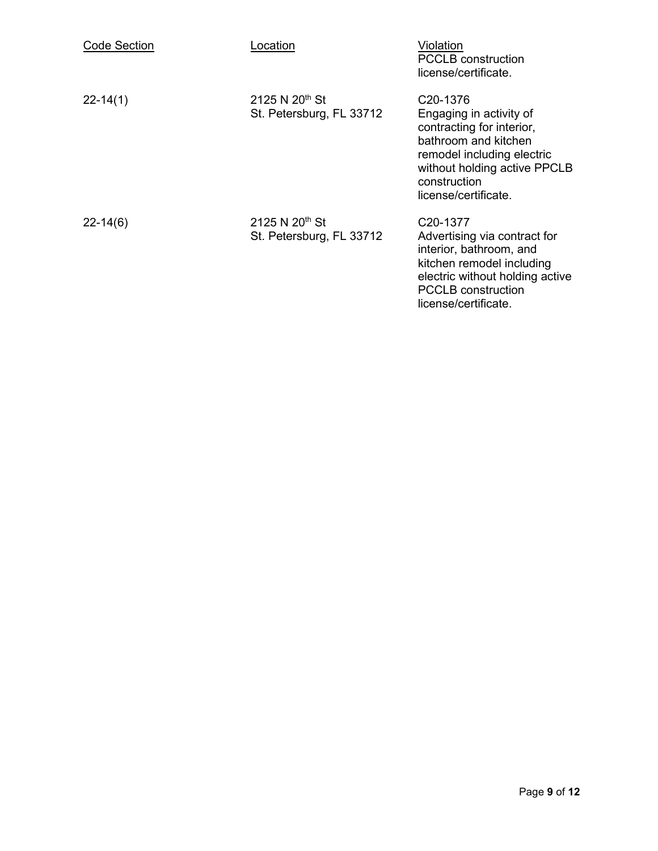| <b>Code Section</b> | _ocation                                               | Violation<br><b>PCCLB</b> construction<br>license/certificate.                                                                                                                                              |
|---------------------|--------------------------------------------------------|-------------------------------------------------------------------------------------------------------------------------------------------------------------------------------------------------------------|
| $22 - 14(1)$        | 2125 N 20 <sup>th</sup> St<br>St. Petersburg, FL 33712 | C <sub>20</sub> -1376<br>Engaging in activity of<br>contracting for interior,<br>bathroom and kitchen<br>remodel including electric<br>without holding active PPCLB<br>construction<br>license/certificate. |
| $22 - 14(6)$        | 2125 N $20^{th}$ St<br>St. Petersburg, FL 33712        | C <sub>20</sub> -1377<br>Advertising via contract for<br>interior, bathroom, and<br>kitchen remodel including<br>electric without holding active<br><b>PCCLB</b> construction<br>license/certificate.       |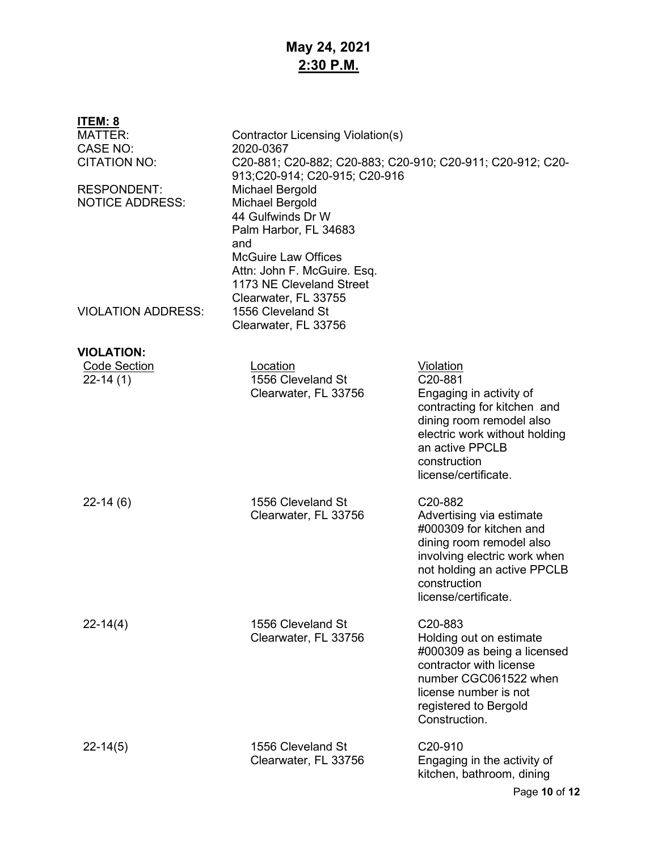## **May 24, 2021 2:30 P.M.**

| <u>ITEM: 8</u><br><b>MATTER:</b><br><b>CASE NO:</b> | Contractor Licensing Violation(s)<br>2020-0367                                                                                                                                                 |                                                                                                                                                                                                                |
|-----------------------------------------------------|------------------------------------------------------------------------------------------------------------------------------------------------------------------------------------------------|----------------------------------------------------------------------------------------------------------------------------------------------------------------------------------------------------------------|
| <b>CITATION NO:</b>                                 | C20-881; C20-882; C20-883; C20-910; C20-911; C20-912; C20-<br>913;C20-914; C20-915; C20-916                                                                                                    |                                                                                                                                                                                                                |
| <b>RESPONDENT:</b><br><b>NOTICE ADDRESS:</b>        | <b>Michael Bergold</b><br><b>Michael Bergold</b><br>44 Gulfwinds Dr W<br>Palm Harbor, FL 34683<br>and<br><b>McGuire Law Offices</b><br>Attn: John F. McGuire. Esq.<br>1173 NE Cleveland Street |                                                                                                                                                                                                                |
| <b>VIOLATION ADDRESS:</b>                           | Clearwater, FL 33755<br>1556 Cleveland St<br>Clearwater, FL 33756                                                                                                                              |                                                                                                                                                                                                                |
| <b>VIOLATION:</b>                                   |                                                                                                                                                                                                |                                                                                                                                                                                                                |
| <b>Code Section</b><br>$22-14(1)$                   | Location<br>1556 Cleveland St<br>Clearwater, FL 33756                                                                                                                                          | Violation<br>C20-881<br>Engaging in activity of<br>contracting for kitchen and<br>dining room remodel also<br>electric work without holding<br>an active PPCLB<br>construction<br>license/certificate.         |
| $22-14(6)$                                          | 1556 Cleveland St<br>Clearwater, FL 33756                                                                                                                                                      | C <sub>20</sub> -882<br>Advertising via estimate<br>#000309 for kitchen and<br>dining room remodel also<br>involving electric work when<br>not holding an active PPCLB<br>construction<br>license/certificate. |
| $22 - 14(4)$                                        | 1556 Cleveland St<br>Clearwater, FL 33756                                                                                                                                                      | C20-883<br>Holding out on estimate<br>#000309 as being a licensed<br>contractor with license<br>number CGC061522 when<br>license number is not<br>registered to Bergold<br>Construction.                       |
| $22 - 14(5)$                                        | 1556 Cleveland St<br>Clearwater, FL 33756                                                                                                                                                      | C20-910<br>Engaging in the activity of<br>kitchen, bathroom, dining                                                                                                                                            |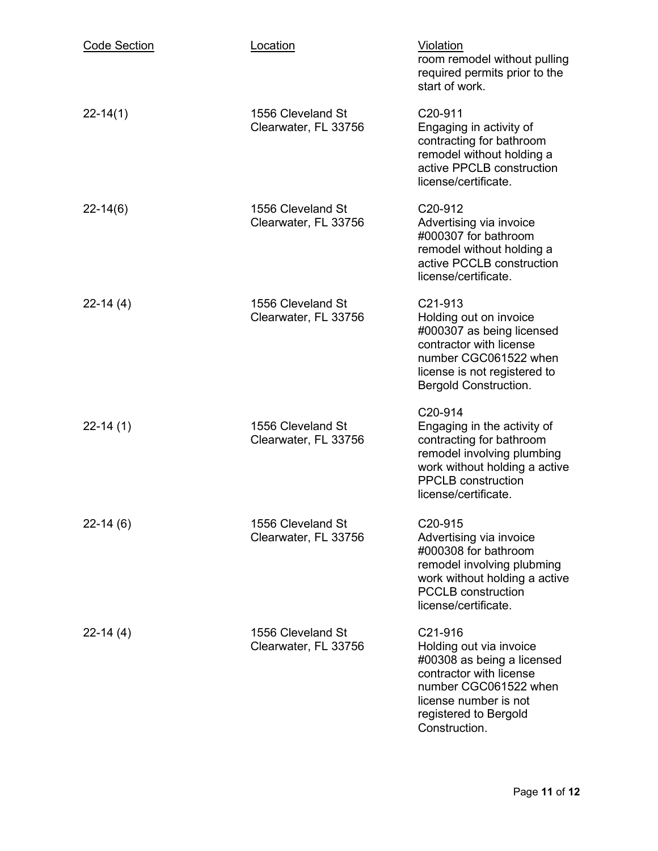| <b>Code Section</b> | Location                                  | Violation<br>room remodel without pulling<br>required permits prior to the<br>start of work.                                                                                                |
|---------------------|-------------------------------------------|---------------------------------------------------------------------------------------------------------------------------------------------------------------------------------------------|
| $22 - 14(1)$        | 1556 Cleveland St<br>Clearwater, FL 33756 | C <sub>20</sub> -911<br>Engaging in activity of<br>contracting for bathroom<br>remodel without holding a<br>active PPCLB construction<br>license/certificate.                               |
| $22 - 14(6)$        | 1556 Cleveland St<br>Clearwater, FL 33756 | C <sub>20</sub> -912<br>Advertising via invoice<br>#000307 for bathroom<br>remodel without holding a<br>active PCCLB construction<br>license/certificate.                                   |
| $22-14(4)$          | 1556 Cleveland St<br>Clearwater, FL 33756 | C21-913<br>Holding out on invoice<br>#000307 as being licensed<br>contractor with license<br>number CGC061522 when<br>license is not registered to<br><b>Bergold Construction.</b>          |
| $22-14(1)$          | 1556 Cleveland St<br>Clearwater, FL 33756 | C20-914<br>Engaging in the activity of<br>contracting for bathroom<br>remodel involving plumbing<br>work without holding a active<br><b>PPCLB</b> construction<br>license/certificate.      |
| $22-14(6)$          | 1556 Cleveland St<br>Clearwater, FL 33756 | C <sub>20</sub> -915<br>Advertising via invoice<br>#000308 for bathroom<br>remodel involving plubming<br>work without holding a active<br><b>PCCLB</b> construction<br>license/certificate. |
| $22 - 14(4)$        | 1556 Cleveland St<br>Clearwater, FL 33756 | C21-916<br>Holding out via invoice<br>#00308 as being a licensed<br>contractor with license<br>number CGC061522 when<br>license number is not<br>registered to Bergold<br>Construction.     |